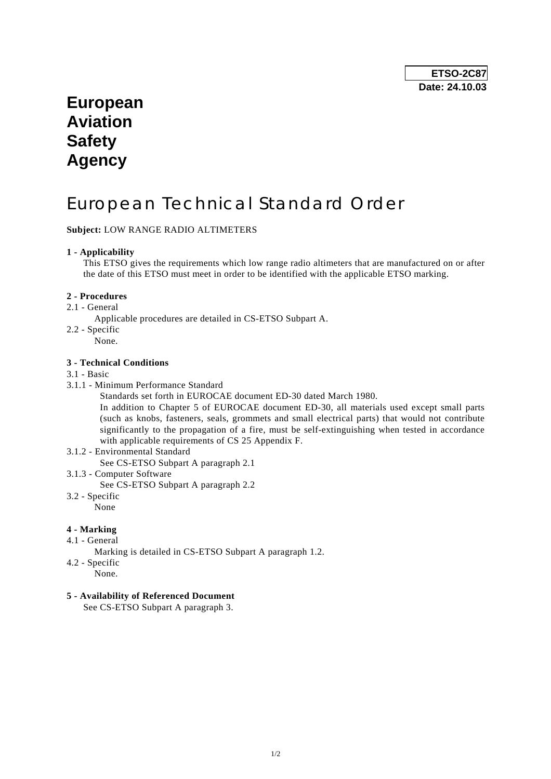## **European Aviation Safety Agency**

# European Technical Standard Order

## **Subject:** LOW RANGE RADIO ALTIMETERS

#### **1 - Applicability**

 This ETSO gives the requirements which low range radio altimeters that are manufactured on or after the date of this ETSO must meet in order to be identified with the applicable ETSO marking.

#### **2 - Procedures**

- 2.1 General
	- Applicable procedures are detailed in CS-ETSO Subpart A.
- 2.2 Specific None.

#### **3 - Technical Conditions**

#### 3.1 - Basic

- 3.1.1 Minimum Performance Standard
	- Standards set forth in EUROCAE document ED-30 dated March 1980.

 In addition to Chapter 5 of EUROCAE document ED-30, all materials used except small parts (such as knobs, fasteners, seals, grommets and small electrical parts) that would not contribute significantly to the propagation of a fire, must be self-extinguishing when tested in accordance with applicable requirements of CS 25 Appendix F.

- 3.1.2 Environmental Standard
	- See CS-ETSO Subpart A paragraph 2.1
- 3.1.3 Computer Software
- See CS-ETSO Subpart A paragraph 2.2
- 3.2 Specific None

#### **4 - Marking**

- 4.1 General
	- Marking is detailed in CS-ETSO Subpart A paragraph 1.2.
- 4.2 Specific
	- None.

#### **5 - Availability of Referenced Document**

See CS-ETSO Subpart A paragraph 3.